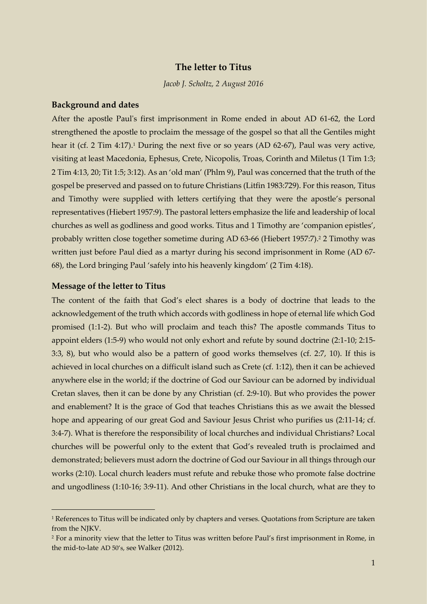# **The letter to Titus**

*Jacob J. Scholtz, 2 August 2016*

#### **Background and dates**

After the apostle Paul's first imprisonment in Rome ended in about AD 61-62, the Lord strengthened the apostle to proclaim the message of the gospel so that all the Gentiles might hear it (cf. 2 Tim 4:17).<sup>1</sup> During the next five or so years (AD 62-67), Paul was very active, visiting at least Macedonia, Ephesus, Crete, Nicopolis, Troas, Corinth and Miletus (1 Tim 1:3; 2 Tim 4:13, 20; Tit 1:5; 3:12). As an 'old man' (Phlm 9), Paul was concerned that the truth of the gospel be preserved and passed on to future Christians (Litfin 1983:729). For this reason, Titus and Timothy were supplied with letters certifying that they were the apostle's personal representatives (Hiebert 1957:9). The pastoral letters emphasize the life and leadership of local churches as well as godliness and good works. Titus and 1 Timothy are 'companion epistles', probably written close together sometime during AD 63-66 (Hiebert 1957:7). <sup>2</sup> 2 Timothy was written just before Paul died as a martyr during his second imprisonment in Rome (AD 67- 68), the Lord bringing Paul 'safely into his heavenly kingdom' (2 Tim 4:18).

#### **Message of the letter to Titus**

-

The content of the faith that God's elect shares is a body of doctrine that leads to the acknowledgement of the truth which accords with godliness in hope of eternal life which God promised (1:1-2). But who will proclaim and teach this? The apostle commands Titus to appoint elders (1:5-9) who would not only exhort and refute by sound doctrine (2:1-10; 2:15- 3:3, 8), but who would also be a pattern of good works themselves (cf. 2:7, 10). If this is achieved in local churches on a difficult island such as Crete (cf. 1:12), then it can be achieved anywhere else in the world; if the doctrine of God our Saviour can be adorned by individual Cretan slaves, then it can be done by any Christian (cf. 2:9-10). But who provides the power and enablement? It is the grace of God that teaches Christians this as we await the blessed hope and appearing of our great God and Saviour Jesus Christ who purifies us (2:11-14; cf. 3:4-7). What is therefore the responsibility of local churches and individual Christians? Local churches will be powerful only to the extent that God's revealed truth is proclaimed and demonstrated; believers must adorn the doctrine of God our Saviour in all things through our works (2:10). Local church leaders must refute and rebuke those who promote false doctrine and ungodliness (1:10-16; 3:9-11). And other Christians in the local church, what are they to

<sup>1</sup> References to Titus will be indicated only by chapters and verses. Quotations from Scripture are taken from the NJKV.

<sup>2</sup> For a minority view that the letter to Titus was written before Paul's first imprisonment in Rome, in the mid-to-late AD 50's, see Walker (2012).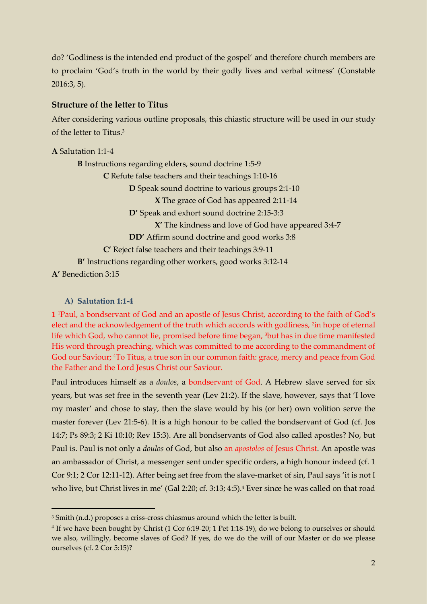do? 'Godliness is the intended end product of the gospel' and therefore church members are to proclaim 'God's truth in the world by their godly lives and verbal witness' (Constable 2016:3, 5).

# **Structure of the letter to Titus**

After considering various outline proposals, this chiastic structure will be used in our study of the letter to Titus. 3

**A** Salutation 1:1-4 **B** Instructions regarding elders, sound doctrine 1:5-9 **C** Refute false teachers and their teachings 1:10-16 **D** Speak sound doctrine to various groups 2:1-10 **X** The grace of God has appeared 2:11-14 **D'** Speak and exhort sound doctrine 2:15-3:3 **X'** The kindness and love of God have appeared 3:4-7 **DD'** Affirm sound doctrine and good works 3:8 **C'** Reject false teachers and their teachings 3:9-11 **B'** Instructions regarding other workers, good works 3:12-14 **A'** Benediction 3:15

### **A) Salutation 1:1-4**

-

**1** <sup>1</sup>Paul, a bondservant of God and an apostle of Jesus Christ, according to the faith of God's elect and the acknowledgement of the truth which accords with godliness, <sup>2</sup>in hope of eternal life which God, who cannot lie, promised before time began, 3but has in due time manifested His word through preaching, which was committed to me according to the commandment of God our Saviour; 4To Titus, a true son in our common faith: grace, mercy and peace from God the Father and the Lord Jesus Christ our Saviour.

Paul introduces himself as a *doulos*, a bondservant of God. A Hebrew slave served for six years, but was set free in the seventh year (Lev 21:2). If the slave, however, says that 'I love my master' and chose to stay, then the slave would by his (or her) own volition serve the master forever (Lev 21:5-6). It is a high honour to be called the bondservant of God (cf. Jos 14:7; Ps 89:3; 2 Ki 10:10; Rev 15:3). Are all bondservants of God also called apostles? No, but Paul is. Paul is not only a *doulos* of God, but also an *apostolos* of Jesus Christ. An apostle was an ambassador of Christ, a messenger sent under specific orders, a high honour indeed (cf. 1 Cor 9:1; 2 Cor 12:11-12). After being set free from the slave-market of sin, Paul says 'it is not I who live, but Christ lives in me' (Gal 2:20; cf. 3:13; 4:5).<sup>4</sup> Ever since he was called on that road

<sup>&</sup>lt;sup>3</sup> Smith (n.d.) proposes a criss-cross chiasmus around which the letter is built.

<sup>4</sup> If we have been bought by Christ (1 Cor 6:19-20; 1 Pet 1:18-19), do we belong to ourselves or should we also, willingly, become slaves of God? If yes, do we do the will of our Master or do we please ourselves (cf. 2 Cor 5:15)?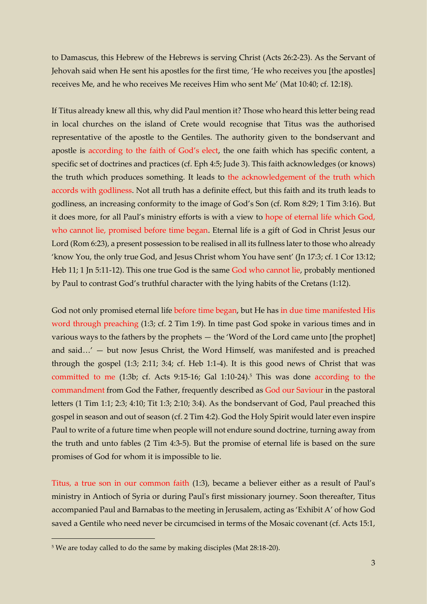to Damascus, this Hebrew of the Hebrews is serving Christ (Acts 26:2-23). As the Servant of Jehovah said when He sent his apostles for the first time, 'He who receives you [the apostles] receives Me, and he who receives Me receives Him who sent Me' (Mat 10:40; cf. 12:18).

If Titus already knew all this, why did Paul mention it? Those who heard this letter being read in local churches on the island of Crete would recognise that Titus was the authorised representative of the apostle to the Gentiles. The authority given to the bondservant and apostle is according to the faith of God's elect, the one faith which has specific content, a specific set of doctrines and practices (cf. Eph 4:5; Jude 3). This faith acknowledges (or knows) the truth which produces something. It leads to the acknowledgement of the truth which accords with godliness. Not all truth has a definite effect, but this faith and its truth leads to godliness, an increasing conformity to the image of God's Son (cf. Rom 8:29; 1 Tim 3:16). But it does more, for all Paul's ministry efforts is with a view to hope of eternal life which God, who cannot lie, promised before time began. Eternal life is a gift of God in Christ Jesus our Lord (Rom 6:23), a present possession to be realised in all its fullness later to those who already 'know You, the only true God, and Jesus Christ whom You have sent' (Jn 17:3; cf. 1 Cor 13:12; Heb 11; 1 Jn 5:11-12). This one true God is the same God who cannot lie, probably mentioned by Paul to contrast God's truthful character with the lying habits of the Cretans (1:12).

God not only promised eternal life before time began, but He has in due time manifested His word through preaching (1:3; cf. 2 Tim 1:9). In time past God spoke in various times and in various ways to the fathers by the prophets — the 'Word of the Lord came unto [the prophet] and said…' — but now Jesus Christ, the Word Himself, was manifested and is preached through the gospel (1:3; 2:11; 3:4; cf. Heb 1:1-4). It is this good news of Christ that was committed to me (1:3b; cf. Acts 9:15-16; Gal 1:10-24). <sup>5</sup> This was done according to the commandment from God the Father, frequently described as God our Saviour in the pastoral letters (1 Tim 1:1; 2:3; 4:10; Tit 1:3; 2:10; 3:4). As the bondservant of God, Paul preached this gospel in season and out of season (cf. 2 Tim 4:2). God the Holy Spirit would later even inspire Paul to write of a future time when people will not endure sound doctrine, turning away from the truth and unto fables (2 Tim 4:3-5). But the promise of eternal life is based on the sure promises of God for whom it is impossible to lie.

Titus, a true son in our common faith (1:3), became a believer either as a result of Paul's ministry in Antioch of Syria or during Paul's first missionary journey. Soon thereafter, Titus accompanied Paul and Barnabas to the meeting in Jerusalem, acting as 'Exhibit A' of how God saved a Gentile who need never be circumcised in terms of the Mosaic covenant (cf. Acts 15:1,

<sup>5</sup> We are today called to do the same by making disciples (Mat 28:18-20).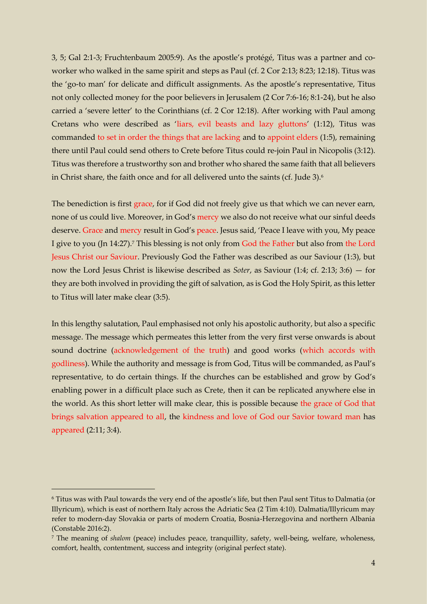3, 5; Gal 2:1-3; Fruchtenbaum 2005:9). As the apostle's protégé, Titus was a partner and coworker who walked in the same spirit and steps as Paul (cf. 2 Cor 2:13; 8:23; 12:18). Titus was the 'go-to man' for delicate and difficult assignments. As the apostle's representative, Titus not only collected money for the poor believers in Jerusalem (2 Cor 7:6-16; 8:1-24), but he also carried a 'severe letter' to the Corinthians (cf. 2 Cor 12:18). After working with Paul among Cretans who were described as 'liars, evil beasts and lazy gluttons' (1:12), Titus was commanded to set in order the things that are lacking and to appoint elders (1:5), remaining there until Paul could send others to Crete before Titus could re-join Paul in Nicopolis (3:12). Titus was therefore a trustworthy son and brother who shared the same faith that all believers in Christ share, the faith once and for all delivered unto the saints (cf. Jude 3).<sup>6</sup>

The benediction is first grace, for if God did not freely give us that which we can never earn, none of us could live. Moreover, in God's mercy we also do not receive what our sinful deeds deserve. Grace and mercy result in God's peace. Jesus said, 'Peace I leave with you, My peace I give to you (Jn 14:27).<sup>7</sup> This blessing is not only from God the Father but also from the Lord Jesus Christ our Saviour. Previously God the Father was described as our Saviour (1:3), but now the Lord Jesus Christ is likewise described as *Soter*, as Saviour (1:4; cf. 2:13; 3:6) — for they are both involved in providing the gift of salvation, as is God the Holy Spirit, as this letter to Titus will later make clear (3:5).

In this lengthy salutation, Paul emphasised not only his apostolic authority, but also a specific message. The message which permeates this letter from the very first verse onwards is about sound doctrine (acknowledgement of the truth) and good works (which accords with godliness). While the authority and message is from God, Titus will be commanded, as Paul's representative, to do certain things. If the churches can be established and grow by God's enabling power in a difficult place such as Crete, then it can be replicated anywhere else in the world. As this short letter will make clear, this is possible because the grace of God that brings salvation appeared to all, the kindness and love of God our Savior toward man has appeared (2:11; 3:4).

<sup>6</sup> Titus was with Paul towards the very end of the apostle's life, but then Paul sent Titus to Dalmatia (or Illyricum), which is east of northern Italy across the Adriatic Sea (2 Tim 4:10). Dalmatia/Illyricum may refer to modern-day Slovakia or parts of modern Croatia, Bosnia-Herzegovina and northern Albania (Constable 2016:2).

<sup>7</sup> The meaning of *shalom* (peace) includes peace, tranquillity, safety, well-being, welfare, wholeness, comfort, health, contentment, success and integrity (original perfect state).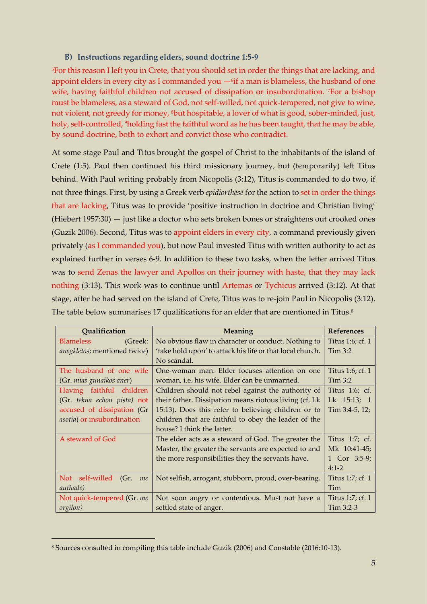# **B) Instructions regarding elders, sound doctrine 1:5-9**

<sup>5</sup>For this reason I left you in Crete, that you should set in order the things that are lacking, and appoint elders in every city as I commanded you  $-$ 6if a man is blameless, the husband of one wife, having faithful children not accused of dissipation or insubordination. 7For a bishop must be blameless, as a steward of God, not self-willed, not quick-tempered, not give to wine, not violent, not greedy for money, <sup>8</sup>but hospitable, a lover of what is good, sober-minded, just, holy, self-controlled, <sup>9</sup>holding fast the faithful word as he has been taught, that he may be able, by sound doctrine, both to exhort and convict those who contradict.

At some stage Paul and Titus brought the gospel of Christ to the inhabitants of the island of Crete (1:5). Paul then continued his third missionary journey, but (temporarily) left Titus behind. With Paul writing probably from Nicopolis (3:12), Titus is commanded to do two, if not three things. First, by using a Greek verb *epidiorthēsē* for the action to set in order the things that are lacking, Titus was to provide 'positive instruction in doctrine and Christian living' (Hiebert 1957:30) — just like a doctor who sets broken bones or straightens out crooked ones (Guzik 2006). Second, Titus was to appoint elders in every city, a command previously given privately (as I commanded you), but now Paul invested Titus with written authority to act as explained further in verses 6-9. In addition to these two tasks, when the letter arrived Titus was to send Zenas the lawyer and Apollos on their journey with haste, that they may lack nothing (3:13). This work was to continue until Artemas or Tychicus arrived (3:12). At that stage, after he had served on the island of Crete, Titus was to re-join Paul in Nicopolis (3:12). The table below summarises 17 qualifications for an elder that are mentioned in Titus. 8

| <b>Qualification</b>               | Meaning                                                   | <b>References</b> |
|------------------------------------|-----------------------------------------------------------|-------------------|
| <b>Blameless</b><br>(Greek:        | No obvious flaw in character or conduct. Nothing to       | Titus 1:6; cf. 1  |
| anegkletos; mentioned twice)       | 'take hold upon' to attack his life or that local church. | Tim 3:2           |
|                                    | No scandal.                                               |                   |
| The husband of one wife            | One-woman man. Elder focuses attention on one             | Titus 1:6; cf. 1  |
| (Gr. mias gunaikos aner)           | woman, <i>i.e.</i> his wife. Elder can be unmarried.      | Tim 3:2           |
| Having faithful children           | Children should not rebel against the authority of        | Titus 1:6; cf.    |
| (Gr. tekna echon pista) not        | their father. Dissipation means riotous living (cf. Lk    | Lk 15:13; 1       |
| accused of dissipation (Gr         | 15:13). Does this refer to believing children or to       | Tim 3:4-5, 12;    |
| <i>asotia</i> ) or insubordination | children that are faithful to obey the leader of the      |                   |
|                                    | house? I think the latter.                                |                   |
| A steward of God                   | The elder acts as a steward of God. The greater the       | Titus 1:7; cf.    |
|                                    | Master, the greater the servants are expected to and      | Mk 10:41-45;      |
|                                    | the more responsibilities they the servants have.         | 1 Cor 3:5-9;      |
|                                    |                                                           | $4:1-2$           |
| Not self-willed (Gr.<br>me         | Not selfish, arrogant, stubborn, proud, over-bearing.     | Titus 1:7; cf. 1  |
| <i>authade</i> )                   |                                                           | Tim               |
| Not quick-tempered (Gr. me         | Not soon angry or contentious. Must not have a            | Titus 1:7; cf. 1  |
| orgilon)                           | settled state of anger.                                   | $Tim\ 3:2-3$      |

<sup>8</sup> Sources consulted in compiling this table include Guzik (2006) and Constable (2016:10-13).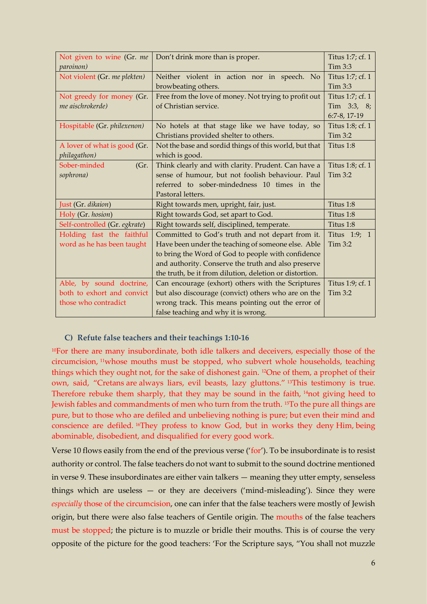| Not given to wine (Gr. me     | Don't drink more than is proper.                        | Titus 1:7; cf. 1 |
|-------------------------------|---------------------------------------------------------|------------------|
| paroinon)                     |                                                         | Tim 3:3          |
| Not violent (Gr. me plekten)  | Neither violent in action nor in speech. No             | Titus 1:7; cf. 1 |
|                               | browbeating others.                                     | Tim 3:3          |
| Not greedy for money (Gr.     | Free from the love of money. Not trying to profit out   | Titus 1:7; cf. 1 |
| me aischrokerde)              | of Christian service.                                   | Tim 3:3, 8;      |
|                               |                                                         | 6:7-8, 17-19     |
| Hospitable (Gr. philexenon)   | No hotels at that stage like we have today, so          | Titus 1:8; cf. 1 |
|                               | Christians provided shelter to others.                  | Tim 3:2          |
| A lover of what is good (Gr.  | Not the base and sordid things of this world, but that  | Titus 1:8        |
| philagathon)                  | which is good.                                          |                  |
| Sober-minded<br>(Gr.          | Think clearly and with clarity. Prudent. Can have a     | Titus 1:8; cf. 1 |
| sophrona)                     | sense of humour, but not foolish behaviour. Paul        | Tim 3:2          |
|                               | referred to sober-mindedness 10 times in the            |                  |
|                               | Pastoral letters.                                       |                  |
| Just (Gr. dikaion)            | Right towards men, upright, fair, just.                 | Titus 1:8        |
| Holy (Gr. hosion)             | Right towards God, set apart to God.                    | Titus 1:8        |
| Self-controlled (Gr. egkrate) | Right towards self, disciplined, temperate.             | Titus 1:8        |
| Holding fast the faithful     | Committed to God's truth and not depart from it.        | Titus 1:9; 1     |
| word as he has been taught    | Have been under the teaching of someone else. Able      | Tim 3:2          |
|                               | to bring the Word of God to people with confidence      |                  |
|                               | and authority. Conserve the truth and also preserve     |                  |
|                               | the truth, be it from dilution, deletion or distortion. |                  |
| Able, by sound doctrine,      | Can encourage (exhort) others with the Scriptures       | Titus 1:9; cf. 1 |
| both to exhort and convict    | but also discourage (convict) others who are on the     | Tim 3:2          |
| those who contradict          | wrong track. This means pointing out the error of       |                  |
|                               | false teaching and why it is wrong.                     |                  |

## **C) Refute false teachers and their teachings 1:10-16**

<sup>10</sup>For there are many insubordinate, both idle talkers and deceivers, especially those of the circumcision, <sup>11</sup>whose mouths must be stopped, who subvert whole households, teaching things which they ought not, for the sake of dishonest gain. <sup>12</sup>One of them, a prophet of their own, said, "Cretans are always liars, evil beasts, lazy gluttons." <sup>13</sup>This testimony is true. Therefore rebuke them sharply, that they may be sound in the faith, <sup>14</sup>not giving heed to Jewish fables and commandments of men who turn from the truth. <sup>15</sup>To the pure all things are pure, but to those who are defiled and unbelieving nothing is pure; but even their mind and conscience are defiled. <sup>16</sup>They profess to know God, but in works they deny Him, being abominable, disobedient, and disqualified for every good work.

Verse 10 flows easily from the end of the previous verse ('for'). To be insubordinate is to resist authority or control. The false teachers do not want to submit to the sound doctrine mentioned in verse 9. These insubordinates are either vain talkers — meaning they utter empty, senseless things which are useless  $-$  or they are deceivers ('mind-misleading'). Since they were *especially* those of the circumcision, one can infer that the false teachers were mostly of Jewish origin, but there were also false teachers of Gentile origin. The mouths of the false teachers must be stopped; the picture is to muzzle or bridle their mouths. This is of course the very opposite of the picture for the good teachers: 'For the Scripture says, "You shall not muzzle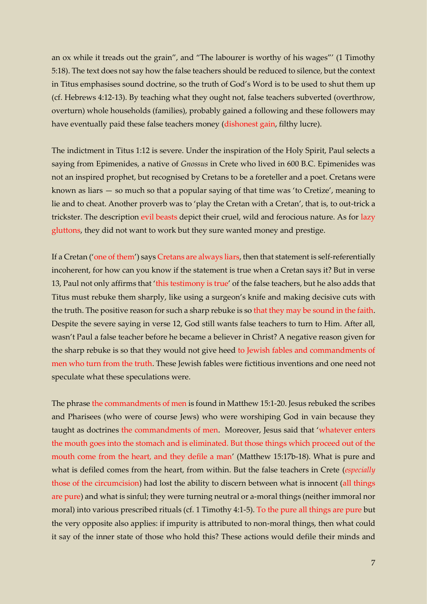an ox while it treads out the grain", and "The labourer is worthy of his wages"' (1 Timothy 5:18). The text does not say how the false teachers should be reduced to silence, but the context in Titus emphasises sound doctrine, so the truth of God's Word is to be used to shut them up (cf. Hebrews 4:12-13). By teaching what they ought not, false teachers subverted (overthrow, overturn) whole households (families), probably gained a following and these followers may have eventually paid these false teachers money (dishonest gain, filthy lucre).

The indictment in Titus 1:12 is severe. Under the inspiration of the Holy Spirit, Paul selects a saying from Epimenides, a native of *Gnossus* in Crete who lived in 600 B.C. Epimenides was not an inspired prophet, but recognised by Cretans to be a foreteller and a poet. Cretans were known as liars — so much so that a popular saying of that time was 'to Cretize', meaning to lie and to cheat. Another proverb was to 'play the Cretan with a Cretan', that is, to out-trick a trickster. The description evil beasts depict their cruel, wild and ferocious nature. As for lazy gluttons, they did not want to work but they sure wanted money and prestige.

If a Cretan ('one of them') says Cretans are always liars, then that statement is self-referentially incoherent, for how can you know if the statement is true when a Cretan says it? But in verse 13, Paul not only affirms that 'this testimony is true' of the false teachers, but he also adds that Titus must rebuke them sharply, like using a surgeon's knife and making decisive cuts with the truth. The positive reason for such a sharp rebuke is so that they may be sound in the faith. Despite the severe saying in verse 12, God still wants false teachers to turn to Him. After all, wasn't Paul a false teacher before he became a believer in Christ? A negative reason given for the sharp rebuke is so that they would not give heed to Jewish fables and commandments of men who turn from the truth. These Jewish fables were fictitious inventions and one need not speculate what these speculations were.

The phrase the commandments of men is found in Matthew 15:1-20. Jesus rebuked the scribes and Pharisees (who were of course Jews) who were worshiping God in vain because they taught as doctrines the commandments of men. Moreover, Jesus said that 'whatever enters the mouth goes into the stomach and is eliminated. But those things which proceed out of the mouth come from the heart, and they defile a man' (Matthew 15:17b-18). What is pure and what is defiled comes from the heart, from within. But the false teachers in Crete (*especially* those of the circumcision) had lost the ability to discern between what is innocent (all things are pure) and what is sinful; they were turning neutral or a-moral things (neither immoral nor moral) into various prescribed rituals (cf. 1 Timothy 4:1-5). To the pure all things are pure but the very opposite also applies: if impurity is attributed to non-moral things, then what could it say of the inner state of those who hold this? These actions would defile their minds and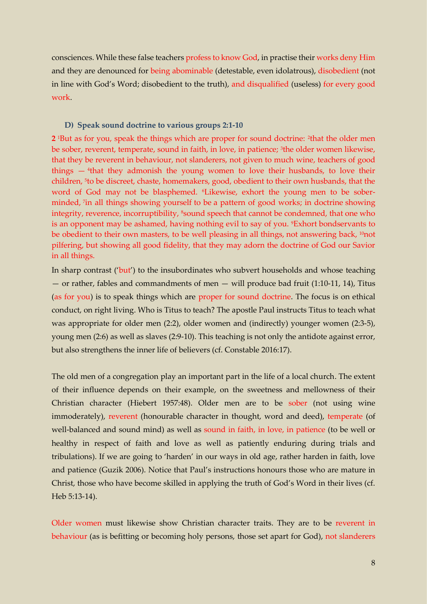consciences. While these false teachers profess to know God, in practise their works deny Him and they are denounced for being abominable (detestable, even idolatrous), disobedient (not in line with God's Word; disobedient to the truth), and disqualified (useless) for every good work.

### **D) Speak sound doctrine to various groups 2:1-10**

**2** <sup>1</sup>But as for you, speak the things which are proper for sound doctrine: <sup>2</sup> that the older men be sober, reverent, temperate, sound in faith, in love, in patience; <sup>3</sup>the older women likewise, that they be reverent in behaviour, not slanderers, not given to much wine, teachers of good things — <sup>4</sup> that they admonish the young women to love their husbands, to love their children, <sup>5</sup>to be discreet, chaste, homemakers, good, obedient to their own husbands, that the word of God may not be blasphemed. 6Likewise, exhort the young men to be soberminded, <sup>7</sup> in all things showing yourself to be a pattern of good works; in doctrine showing integrity, reverence, incorruptibility, <sup>8</sup>sound speech that cannot be condemned, that one who is an opponent may be ashamed, having nothing evil to say of you. 9Exhort bondservants to be obedient to their own masters, to be well pleasing in all things, not answering back, <sup>10</sup>not pilfering, but showing all good fidelity, that they may adorn the doctrine of God our Savior in all things.

In sharp contrast ('but') to the insubordinates who subvert households and whose teaching — or rather, fables and commandments of men — will produce bad fruit (1:10-11, 14), Titus (as for you) is to speak things which are proper for sound doctrine. The focus is on ethical conduct, on right living. Who is Titus to teach? The apostle Paul instructs Titus to teach what was appropriate for older men (2:2), older women and (indirectly) younger women (2:3-5), young men (2:6) as well as slaves (2:9-10). This teaching is not only the antidote against error, but also strengthens the inner life of believers (cf. Constable 2016:17).

The old men of a congregation play an important part in the life of a local church. The extent of their influence depends on their example, on the sweetness and mellowness of their Christian character (Hiebert 1957:48). Older men are to be sober (not using wine immoderately), reverent (honourable character in thought, word and deed), temperate (of well-balanced and sound mind) as well as sound in faith, in love, in patience (to be well or healthy in respect of faith and love as well as patiently enduring during trials and tribulations). If we are going to 'harden' in our ways in old age, rather harden in faith, love and patience (Guzik 2006). Notice that Paul's instructions honours those who are mature in Christ, those who have become skilled in applying the truth of God's Word in their lives (cf. Heb 5:13-14).

Older women must likewise show Christian character traits. They are to be reverent in behaviour (as is befitting or becoming holy persons, those set apart for God), not slanderers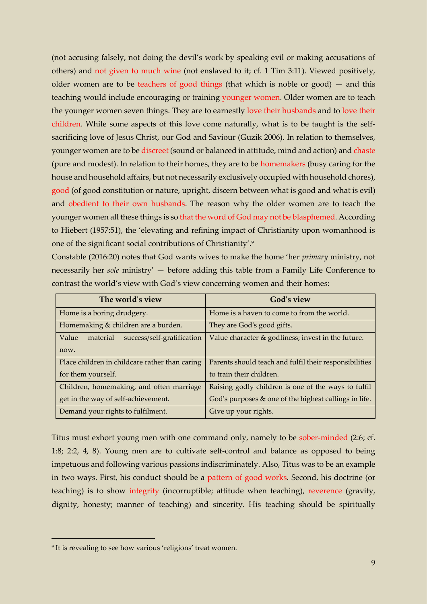(not accusing falsely, not doing the devil's work by speaking evil or making accusations of others) and not given to much wine (not enslaved to it; cf. 1 Tim 3:11). Viewed positively, older women are to be teachers of good things (that which is noble or good)  $-$  and this teaching would include encouraging or training younger women. Older women are to teach the younger women seven things. They are to earnestly love their husbands and to love their children. While some aspects of this love come naturally, what is to be taught is the selfsacrificing love of Jesus Christ, our God and Saviour (Guzik 2006). In relation to themselves, younger women are to be discreet (sound or balanced in attitude, mind and action) and chaste (pure and modest). In relation to their homes, they are to be homemakers (busy caring for the house and household affairs, but not necessarily exclusively occupied with household chores), good (of good constitution or nature, upright, discern between what is good and what is evil) and obedient to their own husbands. The reason why the older women are to teach the younger women all these things is so that the word of God may not be blasphemed. According to Hiebert (1957:51), the 'elevating and refining impact of Christianity upon womanhood is one of the significant social contributions of Christianity'.<sup>9</sup>

Constable (2016:20) notes that God wants wives to make the home 'her *primary* ministry, not necessarily her *sole* ministry' — before adding this table from a Family Life Conference to contrast the world's view with God's view concerning women and their homes:

| The world's view                                | <b>God's view</b>                                      |
|-------------------------------------------------|--------------------------------------------------------|
| Home is a boring drudgery.                      | Home is a haven to come to from the world.             |
| Homemaking & children are a burden.             | They are God's good gifts.                             |
| Value<br>success/self-gratification<br>material | Value character & godliness; invest in the future.     |
| now.                                            |                                                        |
| Place children in childcare rather than caring  | Parents should teach and fulfil their responsibilities |
| for them yourself.                              | to train their children.                               |
| Children, homemaking, and often marriage        | Raising godly children is one of the ways to fulfil    |
| get in the way of self-achievement.             | God's purposes & one of the highest callings in life.  |
| Demand your rights to fulfilment.               | Give up your rights.                                   |

Titus must exhort young men with one command only, namely to be sober-minded (2:6; cf. 1:8; 2:2, 4, 8). Young men are to cultivate self-control and balance as opposed to being impetuous and following various passions indiscriminately. Also, Titus was to be an example in two ways. First, his conduct should be a pattern of good works. Second, his doctrine (or teaching) is to show integrity (incorruptible; attitude when teaching), reverence (gravity, dignity, honesty; manner of teaching) and sincerity. His teaching should be spiritually

<sup>9</sup> It is revealing to see how various 'religions' treat women.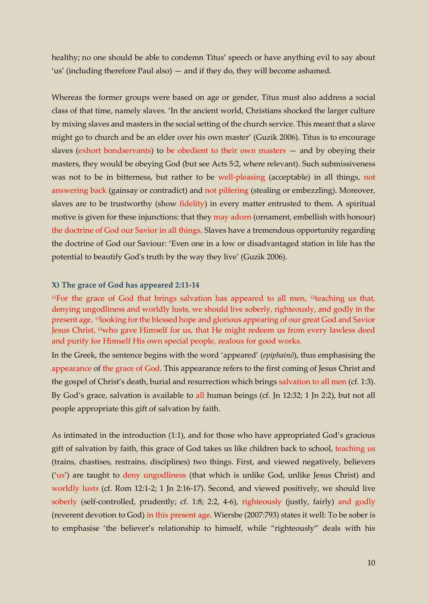healthy; no one should be able to condemn Titus' speech or have anything evil to say about 'us' (including therefore Paul also) — and if they do, they will become ashamed.

Whereas the former groups were based on age or gender, Titus must also address a social class of that time, namely slaves. 'In the ancient world, Christians shocked the larger culture by mixing slaves and masters in the social setting of the church service. This meant that a slave might go to church and be an elder over his own master' (Guzik 2006). Titus is to encourage slaves (exhort bondservants) to be obedient to their own masters — and by obeying their masters, they would be obeying God (but see Acts 5:2, where relevant). Such submissiveness was not to be in bitterness, but rather to be well-pleasing (acceptable) in all things, not answering back (gainsay or contradict) and not pilfering (stealing or embezzling). Moreover, slaves are to be trustworthy (show fidelity) in every matter entrusted to them. A spiritual motive is given for these injunctions: that they may adorn (ornament, embellish with honour) the doctrine of God our Savior in all things. Slaves have a tremendous opportunity regarding the doctrine of God our Saviour: 'Even one in a low or disadvantaged station in life has the potential to beautify God's truth by the way they live' (Guzik 2006).

#### **X) The grace of God has appeared 2:11-14**

<sup>11</sup>For the grace of God that brings salvation has appeared to all men, <sup>12</sup>teaching us that, denying ungodliness and worldly lusts, we should live soberly, righteously, and godly in the present age, <sup>13</sup>looking for the blessed hope and glorious appearing of our great God and Savior Jesus Christ, <sup>14</sup>who gave Himself for us, that He might redeem us from every lawless deed and purify for Himself His own special people, zealous for good works.

In the Greek, the sentence begins with the word 'appeared' (*epiphainō*), thus emphasising the appearance of the grace of God. This appearance refers to the first coming of Jesus Christ and the gospel of Christ's death, burial and resurrection which brings salvation to all men (cf. 1:3). By God's grace, salvation is available to all human beings (cf. Jn 12:32; 1 Jn 2:2), but not all people appropriate this gift of salvation by faith.

As intimated in the introduction (1:1), and for those who have appropriated God's gracious gift of salvation by faith, this grace of God takes us like children back to school, teaching us (trains, chastises, restrains, disciplines) two things. First, and viewed negatively, believers ('us') are taught to deny ungodliness (that which is unlike God, unlike Jesus Christ) and worldly lusts (cf. Rom 12:1-2; 1 Jn 2:16-17). Second, and viewed positively, we should live soberly (self-controlled, prudently; cf. 1:8; 2:2, 4-6), righteously (justly, fairly) and godly (reverent devotion to God) in this present age. Wiersbe (2007:793) states it well: To be sober is to emphasise 'the believer's relationship to himself, while "righteously" deals with his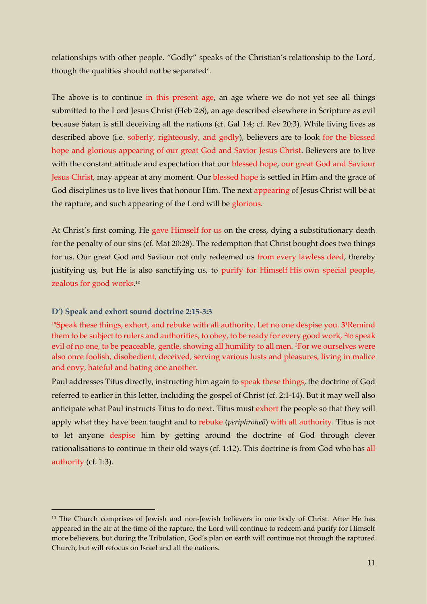relationships with other people. "Godly" speaks of the Christian's relationship to the Lord, though the qualities should not be separated'.

The above is to continue in this present age, an age where we do not yet see all things submitted to the Lord Jesus Christ (Heb 2:8), an age described elsewhere in Scripture as evil because Satan is still deceiving all the nations (cf. Gal 1:4; cf. Rev 20:3). While living lives as described above (i.e. soberly, righteously, and godly), believers are to look for the blessed hope and glorious appearing of our great God and Savior Jesus Christ. Believers are to live with the constant attitude and expectation that our blessed hope, our great God and Saviour Jesus Christ, may appear at any moment. Our blessed hope is settled in Him and the grace of God disciplines us to live lives that honour Him. The next appearing of Jesus Christ will be at the rapture, and such appearing of the Lord will be glorious.

At Christ's first coming, He gave Himself for us on the cross, dying a substitutionary death for the penalty of our sins (cf. Mat 20:28). The redemption that Christ bought does two things for us. Our great God and Saviour not only redeemed us from every lawless deed, thereby justifying us, but He is also sanctifying us, to purify for Himself His own special people, zealous for good works. 10

## **D') Speak and exhort sound doctrine 2:15-3:3**

-

<sup>15</sup>Speak these things, exhort, and rebuke with all authority. Let no one despise you. **3**<sup>1</sup>Remind them to be subject to rulers and authorities, to obey, to be ready for every good work, <sup>2</sup>to speak evil of no one, to be peaceable, gentle, showing all humility to all men. <sup>3</sup>For we ourselves were also once foolish, disobedient, deceived, serving various lusts and pleasures, living in malice and envy, hateful and hating one another.

Paul addresses Titus directly, instructing him again to speak these things, the doctrine of God referred to earlier in this letter, including the gospel of Christ (cf. 2:1-14). But it may well also anticipate what Paul instructs Titus to do next. Titus must exhort the people so that they will apply what they have been taught and to rebuke (*periphroneō*) with all authority. Titus is not to let anyone despise him by getting around the doctrine of God through clever rationalisations to continue in their old ways (cf. 1:12). This doctrine is from God who has all authority (cf. 1:3).

<sup>&</sup>lt;sup>10</sup> The Church comprises of Jewish and non-Jewish believers in one body of Christ. After He has appeared in the air at the time of the rapture, the Lord will continue to redeem and purify for Himself more believers, but during the Tribulation, God's plan on earth will continue not through the raptured Church, but will refocus on Israel and all the nations.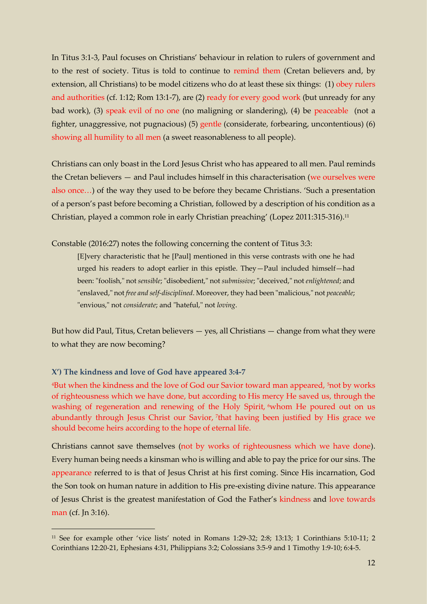In Titus 3:1-3, Paul focuses on Christians' behaviour in relation to rulers of government and to the rest of society. Titus is told to continue to remind them (Cretan believers and, by extension, all Christians) to be model citizens who do at least these six things: (1) obey rulers and authorities (cf. 1:12; Rom 13:1-7), are (2) ready for every good work (but unready for any bad work), (3) speak evil of no one (no maligning or slandering), (4) be peaceable (not a fighter, unaggressive, not pugnacious) (5) gentle (considerate, forbearing, uncontentious) (6) showing all humility to all men (a sweet reasonableness to all people).

Christians can only boast in the Lord Jesus Christ who has appeared to all men. Paul reminds the Cretan believers — and Paul includes himself in this characterisation (we ourselves were also once…) of the way they used to be before they became Christians. 'Such a presentation of a person's past before becoming a Christian, followed by a description of his condition as a Christian, played a common role in early Christian preaching' (Lopez 2011:315-316).<sup>11</sup>

Constable (2016:27) notes the following concerning the content of Titus 3:3:

[E]very characteristic that he [Paul] mentioned in this verse contrasts with one he had urged his readers to adopt earlier in this epistle. They—Paul included himself—had been: "foolish," not *sensible*; "disobedient," not *submissive*; "deceived," not *enlightened*; and "enslaved," not *free and self-disciplined*. Moreover, they had been "malicious," not *peaceable*; "envious," not *considerate*; and "hateful," not *loving*.

But how did Paul, Titus, Cretan believers  $-$  yes, all Christians  $-$  change from what they were to what they are now becoming?

### **X') The kindness and love of God have appeared 3:4-7**

-

<sup>4</sup>But when the kindness and the love of God our Savior toward man appeared, <sup>5</sup>not by works of righteousness which we have done, but according to His mercy He saved us, through the washing of regeneration and renewing of the Holy Spirit, <sup>6</sup>whom He poured out on us abundantly through Jesus Christ our Savior, <sup>7</sup> that having been justified by His grace we should become heirs according to the hope of eternal life.

Christians cannot save themselves (not by works of righteousness which we have done). Every human being needs a kinsman who is willing and able to pay the price for our sins. The appearance referred to is that of Jesus Christ at his first coming. Since His incarnation, God the Son took on human nature in addition to His pre-existing divine nature. This appearance of Jesus Christ is the greatest manifestation of God the Father's kindness and love towards man (cf. Jn 3:16).

<sup>11</sup> See for example other 'vice lists' noted in Romans 1:29-32; 2:8; 13:13; 1 Corinthians 5:10-11; 2 Corinthians 12:20-21, Ephesians 4:31, Philippians 3:2; Colossians 3:5-9 and 1 Timothy 1:9-10; 6:4-5.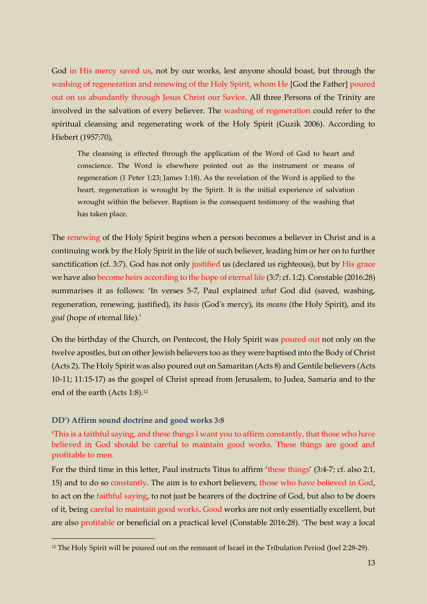God in His mercy saved us, not by our works, lest anyone should boast, but through the washing of regeneration and renewing of the Holy Spirit, whom He [God the Father] poured out on us abundantly through Jesus Christ our Savior. All three Persons of the Trinity are involved in the salvation of every believer. The washing of regeneration could refer to the spiritual cleansing and regenerating work of the Holy Spirit (Guzik 2006). According to Hiebert (1957:70),

The cleansing is effected through the application of the Word of God to heart and conscience. The Word is elsewhere pointed out as the instrument or means of regeneration (1 Peter 1:23; James 1:18). As the revelation of the Word is applied to the heart, regeneration is wrought by the Spirit. It is the initial experience of salvation wrought within the believer. Baptism is the consequent testimony of the washing that has taken place.

The renewing of the Holy Spirit begins when a person becomes a believer in Christ and is a continuing work by the Holy Spirit in the life of such believer, leading him or her on to further sanctification (cf. 3:7). God has not only justified us (declared us righteous), but by His grace we have also become heirs according to the hope of eternal life (3:7; cf. 1:2). Constable (2016:28) summarises it as follows: 'In verses 5-7, Paul explained *what* God did (saved, washing, regeneration, renewing, justified), its *basis* (God's mercy), its *means* (the Holy Spirit), and its *goal* (hope of eternal life).'

On the birthday of the Church, on Pentecost, the Holy Spirit was poured out not only on the twelve apostles, but on other Jewish believers too as they were baptised into the Body of Christ (Acts 2). The Holy Spirit was also poured out on Samaritan (Acts 8) and Gentile believers (Acts 10-11; 11:15-17) as the gospel of Christ spread from Jerusalem, to Judea, Samaria and to the end of the earth (Acts 1:8).<sup>12</sup>

## **DD') Affirm sound doctrine and good works 3:8**

-

<sup>8</sup>This is a faithful saying, and these things I want you to affirm constantly, that those who have believed in God should be careful to maintain good works. These things are good and profitable to men.

For the third time in this letter, Paul instructs Titus to affirm 'these things' (3:4-7; cf. also 2:1, 15) and to do so constantly. The aim is to exhort believers, those who have believed in God, to act on the faithful saying, to not just be hearers of the doctrine of God, but also to be doers of it, being careful to maintain good works. Good works are not only essentially excellent, but are also profitable or beneficial on a practical level (Constable 2016:28). 'The best way a local

<sup>&</sup>lt;sup>12</sup> The Holy Spirit will be poured out on the remnant of Israel in the Tribulation Period (Joel 2:28-29).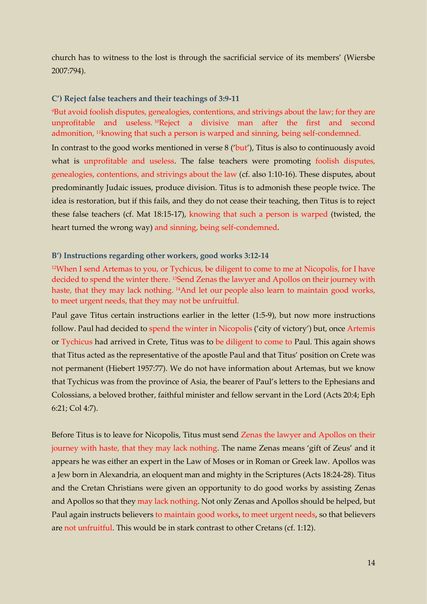church has to witness to the lost is through the sacrificial service of its members' (Wiersbe 2007:794).

### **C') Reject false teachers and their teachings of 3:9-11**

<sup>9</sup>But avoid foolish disputes, genealogies, contentions, and strivings about the law; for they are unprofitable and useless. <sup>10</sup>Reject a divisive man after the first and second admonition, <sup>11</sup>knowing that such a person is warped and sinning, being self-condemned. In contrast to the good works mentioned in verse 8 ('but'), Titus is also to continuously avoid what is unprofitable and useless. The false teachers were promoting foolish disputes, genealogies, contentions, and strivings about the law (cf. also 1:10-16). These disputes, about predominantly Judaic issues, produce division. Titus is to admonish these people twice. The idea is restoration, but if this fails, and they do not cease their teaching, then Titus is to reject these false teachers (cf. Mat 18:15-17), knowing that such a person is warped (twisted, the heart turned the wrong way) and sinning, being self-condemned.

### **B') Instructions regarding other workers, good works 3:12-14**

<sup>12</sup>When I send Artemas to you, or Tychicus, be diligent to come to me at Nicopolis, for I have decided to spend the winter there. <sup>13</sup>Send Zenas the lawyer and Apollos on their journey with haste, that they may lack nothing. <sup>14</sup>And let our people also learn to maintain good works, to meet urgent needs, that they may not be unfruitful.

Paul gave Titus certain instructions earlier in the letter (1:5-9), but now more instructions follow. Paul had decided to spend the winter in Nicopolis ('city of victory') but, once Artemis or Tychicus had arrived in Crete, Titus was to be diligent to come to Paul. This again shows that Titus acted as the representative of the apostle Paul and that Titus' position on Crete was not permanent (Hiebert 1957:77). We do not have information about Artemas, but we know that Tychicus was from the province of Asia, the bearer of Paul's letters to the Ephesians and Colossians, a beloved brother, faithful minister and fellow servant in the Lord (Acts 20:4; Eph 6:21; Col 4:7).

Before Titus is to leave for Nicopolis, Titus must send Zenas the lawyer and Apollos on their journey with haste, that they may lack nothing. The name Zenas means 'gift of Zeus' and it appears he was either an expert in the Law of Moses or in Roman or Greek law. Apollos was a Jew born in Alexandria, an eloquent man and mighty in the Scriptures (Acts 18:24-28). Titus and the Cretan Christians were given an opportunity to do good works by assisting Zenas and Apollos so that they may lack nothing. Not only Zenas and Apollos should be helped, but Paul again instructs believers to maintain good works, to meet urgent needs, so that believers are not unfruitful. This would be in stark contrast to other Cretans (cf. 1:12).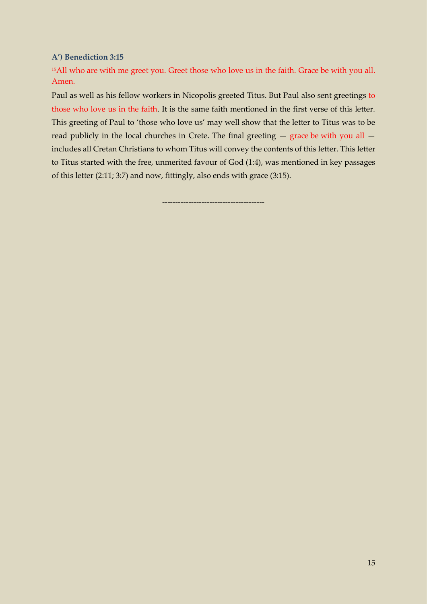**A') Benediction 3:15**

<sup>15</sup>All who are with me greet you. Greet those who love us in the faith. Grace be with you all. Amen.

Paul as well as his fellow workers in Nicopolis greeted Titus. But Paul also sent greetings to those who love us in the faith. It is the same faith mentioned in the first verse of this letter. This greeting of Paul to 'those who love us' may well show that the letter to Titus was to be read publicly in the local churches in Crete. The final greeting — grace be with you all includes all Cretan Christians to whom Titus will convey the contents of this letter. This letter to Titus started with the free, unmerited favour of God (1:4), was mentioned in key passages of this letter (2:11; 3:7) and now, fittingly, also ends with grace (3:15).

---------------------------------------